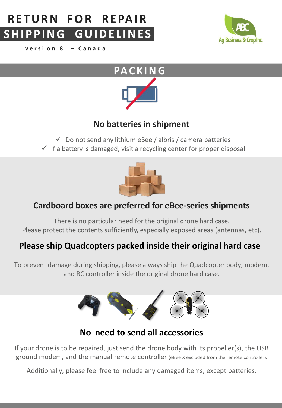## **R E TU RN FOR REPAIR SHI P P ING GUIDE L INE S**

**v e r s i o n 8 – C a n a d a**





## **No batteriesin shipment**

 $\checkmark$  Do not send any lithium eBee / albris / camera batteries

 $\checkmark$  If a battery is damaged, visit a recycling center for proper disposal



## **Cardboard boxes are preferred for eBee-seriesshipments**

There is no particular need for the original drone hard case. Please protect the contents sufficiently, especially exposed areas (antennas, etc).

## **Please ship Quadcopters packed inside their original hard case**

To prevent damage during shipping, please always ship the Quadcopter body, modem, and RC controller inside the original drone hard case.



## **No need to send all accessories**

If your drone is to be repaired, just send the drone body with its propeller(s), the USB ground modem, and the manual remote controller (eBee X excluded from the remote controller).

Additionally, please feel free to include any damaged items, except batteries.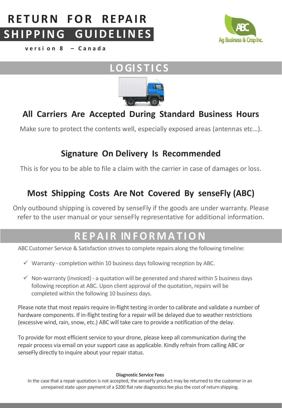### **R E TU RN FOR REPAIR SHI P P ING GUIDE L INE S**



**v e r s i o n 8 – C a n a d a**

# **LOGI S T I C S**



## **All Carriers Are Accepted During Standard Business Hours**

Make sure to protect the contents well, especially exposed areas (antennas etc…).

## **Signature On Delivery Is Recommended**

This is for you to be able to file a claim with the carrier in case of damages or loss.

## **Most Shipping Costs Are Not Covered By senseFly (ABC)**

Only outbound shipping is covered by senseFly if the goods are under warranty. Please refer to the user manual or your senseFly representative for additional information.

# **R E P A I R IN F O R M A T I ON**

ABC Customer Service & Satisfaction strives to complete repairs along the following timeline:

- $\checkmark$  Warranty completion within 10 business days following reception by ABC.
- $\checkmark$  Non-warranty (invoiced) a quotation will be generated and shared within 5 business days following reception at ABC. Upon client approval of the quotation, repairs will be completed within the following 10 business days.

Please note that most repairs require in-flight testing in order to calibrate and validate a number of hardware components. If in-flight testing for a repair will be delayed due to weather restrictions (excessive wind, rain, snow, etc.) ABC will take care to provide a notification of the delay.

To provide for most efficient service to your drone, please keep all communication during the repair process via email on your support case as applicable. Kindly refrain from calling ABC or senseFly directly to inquire about your repair status.

### **Diagnostic Service Fees**

In the case that a repair quotation is not accepted, the senseFly product may be returned to the customer in an unrepaired state upon payment of a \$200 flat rate diagnostics fee plus the cost of return shipping.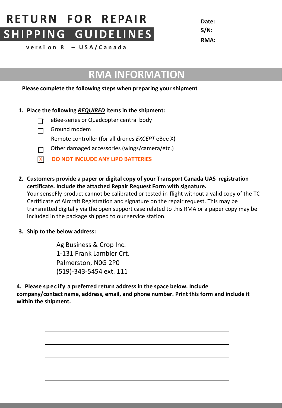# **RE TURN FOR REPAIR Date: SHI PPING GUIDE L INE S**

**S/N: RMA:**

**v e r s i o n 8 – U S A / C a n a d a**

# **RMA INFORMATION**

### **Please complete the following steps when preparing your shipment**

### **1. Place the following** *REQUIRED* **items in the shipment:**

- **F** eBee-series or Quadcopter central body
- $\Box$  Ground modem
	- Remote controller (for all drones *EXCEPT* eBee X)
- $\Box$  Other damaged accessories (wings/camera/etc.)
- **x DO NOT INCLUDE ANY LiPO BATTERIES**
- **2. Customers provide a paper or digital copy of your Transport Canada UAS registration certificate. Include the attached Repair Request Form with signature.** Your senseFly product cannot be calibrated or tested in-flight without a valid copy of the TC Certificate of Aircraft Registration and signature on the repair request. This may be transmitted digitally via the open support case related to this RMA or a paper copy may be included in the package shipped to our service station.
- **3. Ship to the below address:**

Ag Business & Crop Inc. 1-131 Frank Lambier Crt. Palmerston, N0G 2P0 (519)-343-5454 ext. 111

**4. Please sp ec ify a preferred return address in the space below. Include company/contact name, address, email, and phone number. Print this form and include it within the shipment.**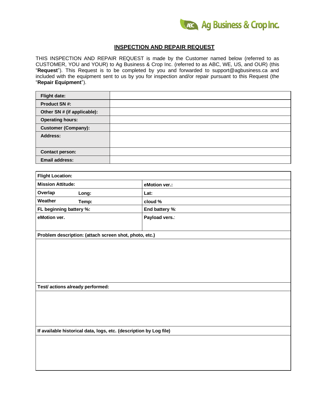

### **INSPECTION AND REPAIR REQUEST**

THIS INSPECTION AND REPAIR REQUEST is made by the Customer named below (referred to as CUSTOMER, YOU and YOUR) to Ag Business & Crop Inc. (referred to as ABC, WE, US, and OUR) (this "**Request**"). This Request is to be completed by you and forwarded to [support@agbusiness.ca](mailto:support@agbusiness.ca) and included with the equipment sent to us by you for inspection and/or repair pursuant to this Request (the "**Repair Equipment**").

| <b>Flight date:</b>         |  |
|-----------------------------|--|
| <b>Product SN#:</b>         |  |
| Other SN # (if applicable): |  |
| <b>Operating hours:</b>     |  |
| <b>Customer (Company):</b>  |  |
| <b>Address:</b>             |  |
|                             |  |
| <b>Contact person:</b>      |  |
| <b>Email address:</b>       |  |

| <b>Flight Location:</b>                                            |                |  |
|--------------------------------------------------------------------|----------------|--|
| <b>Mission Attitude:</b>                                           | eMotion ver.:  |  |
| Overlap<br>Long:                                                   | Lat:           |  |
| Weather<br>Temp:                                                   | cloud %        |  |
| FL beginning battery %:                                            | End battery %: |  |
| eMotion ver.                                                       | Payload vers.: |  |
| Problem description: (attach screen shot, photo, etc.)             |                |  |
|                                                                    |                |  |
| Test/ actions already performed:                                   |                |  |
|                                                                    |                |  |
| If available historical data, logs, etc. (description by Log file) |                |  |
|                                                                    |                |  |